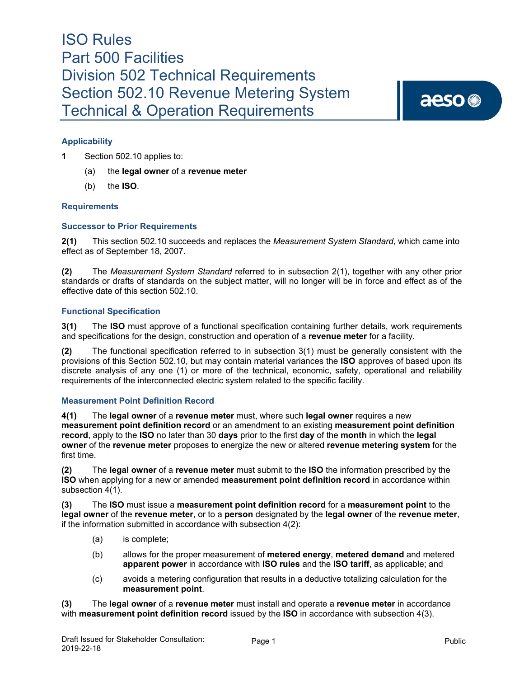# aeso<sup>®</sup>

### **Applicability**

**1** Section 502.10 applies to:

- (a) the **legal owner** of a **revenue meter**
- (b) the **ISO**.

#### **Requirements**

#### **Successor to Prior Requirements**

**2(1)** This section 502.10 succeeds and replaces the *Measurement System Standard*, which came into effect as of September 18, 2007.

**(2)** The *Measurement System Standard* referred to in subsection 2(1), together with any other prior standards or drafts of standards on the subject matter, will no longer will be in force and effect as of the effective date of this section 502.10.

#### **Functional Specification**

**3(1)** The **ISO** must approve of a functional specification containing further details, work requirements and specifications for the design, construction and operation of a **revenue meter** for a facility.

**(2)** The functional specification referred to in subsection 3(1) must be generally consistent with the provisions of this Section 502.10, but may contain material variances the **ISO** approves of based upon its discrete analysis of any one (1) or more of the technical, economic, safety, operational and reliability requirements of the interconnected electric system related to the specific facility.

#### **Measurement Point Definition Record**

**4(1)** The **legal owner** of a **revenue meter** must, where such **legal owner** requires a new **measurement point definition record** or an amendment to an existing **measurement point definition record**, apply to the **ISO** no later than 30 **days** prior to the first **day** of the **month** in which the **legal owner** of the **revenue meter** proposes to energize the new or altered **revenue metering system** for the first time.

**(2)** The **legal owner** of a **revenue meter** must submit to the **ISO** the information prescribed by the **ISO** when applying for a new or amended **measurement point definition record** in accordance within subsection  $4(1)$ .

**(3)** The **ISO** must issue a **measurement point definition record** for a **measurement point** to the **legal owner** of the **revenue meter**, or to a **person** designated by the **legal owner** of the **revenue meter**, if the information submitted in accordance with subsection 4(2):

- (a) is complete;
- (b) allows for the proper measurement of **metered energy**, **metered demand** and metered **apparent power** in accordance with **ISO rules** and the **ISO tariff**, as applicable; and
- (c) avoids a metering configuration that results in a deductive totalizing calculation for the **measurement point**.

**(3)** The **legal owner** of a **revenue meter** must install and operate a **revenue meter** in accordance with **measurement point definition record** issued by the **ISO** in accordance with subsection 4(3).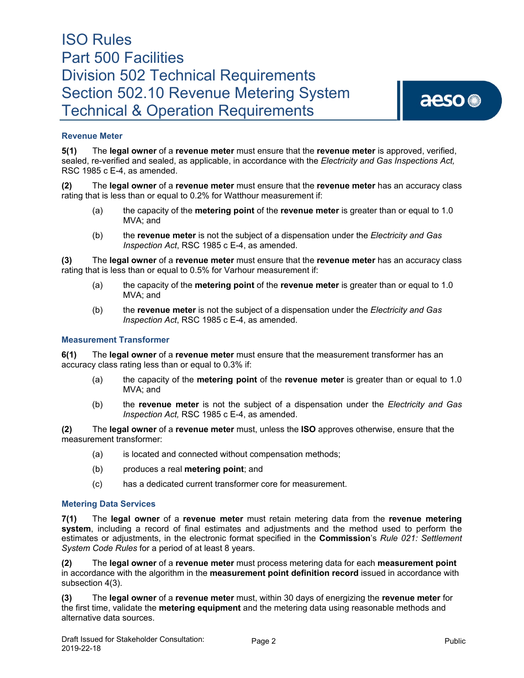### **Revenue Meter**

**5(1)** The **legal owner** of a **revenue meter** must ensure that the **revenue meter** is approved, verified, sealed, re-verified and sealed, as applicable, in accordance with the *Electricity and Gas Inspections Act,*  RSC 1985 c E-4, as amended.

**(2)** The **legal owner** of a **revenue meter** must ensure that the **revenue meter** has an accuracy class rating that is less than or equal to 0.2% for Watthour measurement if:

- (a) the capacity of the **metering point** of the **revenue meter** is greater than or equal to 1.0 MVA; and
- (b) the **revenue meter** is not the subject of a dispensation under the *Electricity and Gas Inspection Act*, RSC 1985 c E-4, as amended.

**(3)** The **legal owner** of a **revenue meter** must ensure that the **revenue meter** has an accuracy class rating that is less than or equal to 0.5% for Varhour measurement if:

- (a) the capacity of the **metering point** of the **revenue meter** is greater than or equal to 1.0 MVA; and
- (b) the **revenue meter** is not the subject of a dispensation under the *Electricity and Gas Inspection Act*, RSC 1985 c E-4, as amended.

#### **Measurement Transformer**

**6(1)** The **legal owner** of a **revenue meter** must ensure that the measurement transformer has an accuracy class rating less than or equal to 0.3% if:

- (a) the capacity of the **metering point** of the **revenue meter** is greater than or equal to 1.0 MVA; and
- (b) the **revenue meter** is not the subject of a dispensation under the *Electricity and Gas Inspection Act,* RSC 1985 c E-4, as amended.

**(2)** The **legal owner** of a **revenue meter** must, unless the **ISO** approves otherwise, ensure that the measurement transformer:

- (a) is located and connected without compensation methods;
- (b) produces a real **metering point**; and
- (c) has a dedicated current transformer core for measurement.

#### **Metering Data Services**

**7(1)** The **legal owner** of a **revenue meter** must retain metering data from the **revenue metering system**, including a record of final estimates and adjustments and the method used to perform the estimates or adjustments, in the electronic format specified in the **Commission**'s *Rule 021: Settlement System Code Rules* for a period of at least 8 years.

**(2)** The **legal owner** of a **revenue meter** must process metering data for each **measurement point** in accordance with the algorithm in the **measurement point definition record** issued in accordance with subsection 4(3).

**(3)** The **legal owner** of a **revenue meter** must, within 30 days of energizing the **revenue meter** for the first time, validate the **metering equipment** and the metering data using reasonable methods and alternative data sources.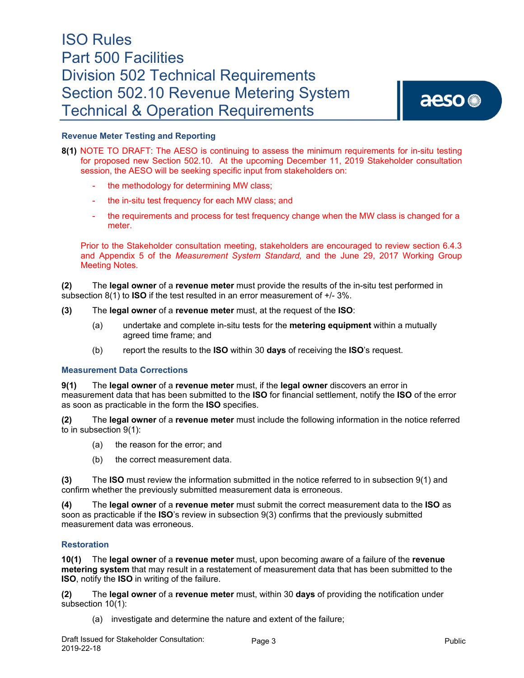### **Revenue Meter Testing and Reporting**

- **8(1)** NOTE TO DRAFT: The AESO is continuing to assess the minimum requirements for in-situ testing for proposed new Section 502.10. At the upcoming December 11, 2019 Stakeholder consultation session, the AESO will be seeking specific input from stakeholders on:
	- the methodology for determining MW class;
	- the in-situ test frequency for each MW class; and
	- the requirements and process for test frequency change when the MW class is changed for a meter.

Prior to the Stakeholder consultation meeting, stakeholders are encouraged to review section 6.4.3 and Appendix 5 of the *Measurement System Standard,* and the June 29, 2017 Working Group Meeting Notes.

**(2)** The **legal owner** of a **revenue meter** must provide the results of the in-situ test performed in subsection 8(1) to **ISO** if the test resulted in an error measurement of +/- 3%.

- **(3)** The **legal owner** of a **revenue meter** must, at the request of the **ISO**:
	- (a) undertake and complete in-situ tests for the **metering equipment** within a mutually agreed time frame; and
	- (b) report the results to the **ISO** within 30 **days** of receiving the **ISO**'s request.

#### **Measurement Data Corrections**

**9(1)** The **legal owner** of a **revenue meter** must, if the **legal owner** discovers an error in measurement data that has been submitted to the **ISO** for financial settlement, notify the **ISO** of the error as soon as practicable in the form the **ISO** specifies.

**(2)** The **legal owner** of a **revenue meter** must include the following information in the notice referred to in subsection 9(1):

- (a) the reason for the error; and
- (b) the correct measurement data.

**(3)** The **ISO** must review the information submitted in the notice referred to in subsection 9(1) and confirm whether the previously submitted measurement data is erroneous.

**(4)** The **legal owner** of a **revenue meter** must submit the correct measurement data to the **ISO** as soon as practicable if the **ISO**'s review in subsection 9(3) confirms that the previously submitted measurement data was erroneous.

#### **Restoration**

**10(1)** The **legal owner** of a **revenue meter** must, upon becoming aware of a failure of the **revenue metering system** that may result in a restatement of measurement data that has been submitted to the **ISO**, notify the **ISO** in writing of the failure.

**(2)** The **legal owner** of a **revenue meter** must, within 30 **days** of providing the notification under subsection 10(1):

(a) investigate and determine the nature and extent of the failure;